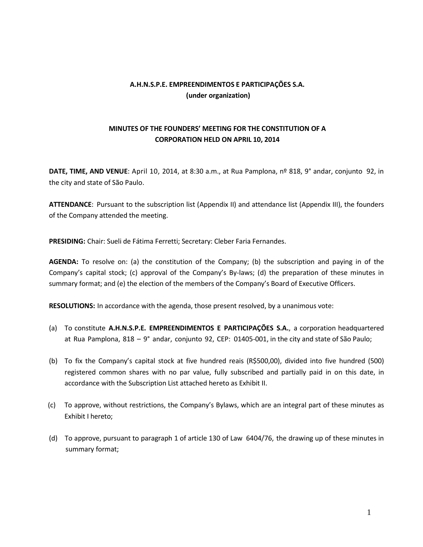## **A.H.N.S.P.E. EMPREENDIMENTOS E PARTICIPAÇÕES S.A. (under organization)**

# **MINUTES OF THE FOUNDERS' MEETING FOR THE CONSTITUTION OF A CORPORATION HELD ON APRIL 10, 2014**

**DATE, TIME, AND VENUE**: April 10, 2014, at 8:30 a.m., at Rua Pamplona, nº 818, 9° andar, conjunto 92, in the city and state of São Paulo.

**ATTENDANCE**: Pursuant to the subscription list (Appendix II) and attendance list (Appendix III), the founders of the Company attended the meeting.

**PRESIDING:** Chair: Sueli de Fátima Ferretti; Secretary: Cleber Faria Fernandes.

**AGENDA:** To resolve on: (a) the constitution of the Company; (b) the subscription and paying in of the Company's capital stock; (c) approval of the Company's By-laws; (d) the preparation of these minutes in summary format; and (e) the election of the members of the Company's Board of Executive Officers.

**RESOLUTIONS:** In accordance with the agenda, those present resolved, by a unanimous vote:

- (a) To constitute **A.H.N.S.P.E. EMPREENDIMENTOS E PARTICIPAÇÕES S.A.**, a corporation headquartered at Rua Pamplona, 818 – 9° andar, conjunto 92, CEP: 01405-001, in the city and state of São Paulo;
- (b) To fix the Company's capital stock at five hundred reais (R\$500,00), divided into five hundred (500) registered common shares with no par value, fully subscribed and partially paid in on this date, in accordance with the Subscription List attached hereto as Exhibit II.
- (c) To approve, without restrictions, the Company's Bylaws, which are an integral part of these minutes as Exhibit I hereto;
- (d) To approve, pursuant to paragraph 1 of article 130 of Law 6404/76, the drawing up of these minutes in summary format;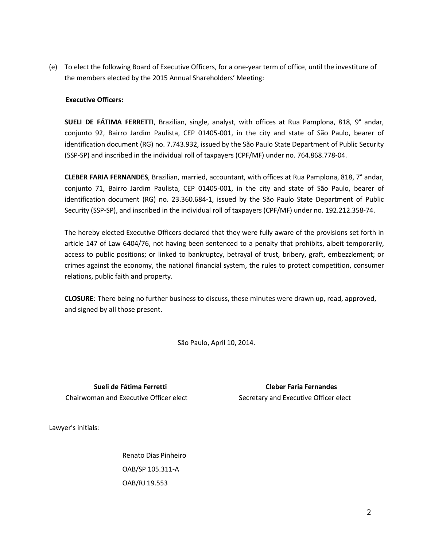(e) To elect the following Board of Executive Officers, for a one-year term of office, until the investiture of the members elected by the 2015 Annual Shareholders' Meeting:

## **Executive Officers:**

**SUELI DE FÁTIMA FERRETTI**, Brazilian, single, analyst, with offices at Rua Pamplona, 818, 9° andar, conjunto 92, Bairro Jardim Paulista, CEP 01405-001, in the city and state of São Paulo, bearer of identification document (RG) no. 7.743.932, issued by the São Paulo State Department of Public Security (SSP-SP) and inscribed in the individual roll of taxpayers (CPF/MF) under no. 764.868.778-04.

**CLEBER FARIA FERNANDES**, Brazilian, married, accountant, with offices at Rua Pamplona, 818, 7° andar, conjunto 71, Bairro Jardim Paulista, CEP 01405-001, in the city and state of São Paulo, bearer of identification document (RG) no. 23.360.684-1, issued by the São Paulo State Department of Public Security (SSP-SP), and inscribed in the individual roll of taxpayers (CPF/MF) under no. 192.212.358-74.

The hereby elected Executive Officers declared that they were fully aware of the provisions set forth in article 147 of Law 6404/76, not having been sentenced to a penalty that prohibits, albeit temporarily, access to public positions; or linked to bankruptcy, betrayal of trust, bribery, graft, embezzlement; or crimes against the economy, the national financial system, the rules to protect competition, consumer relations, public faith and property.

**CLOSURE**: There being no further business to discuss, these minutes were drawn up, read, approved, and signed by all those present.

São Paulo, April 10, 2014.

Chairwoman and Executive Officer elect Secretary and Executive Officer elect

**Sueli de Fátima Ferretti Cleber Faria Fernandes**

Lawyer's initials:

Renato Dias Pinheiro OAB/SP 105.311-A OAB/RJ 19.553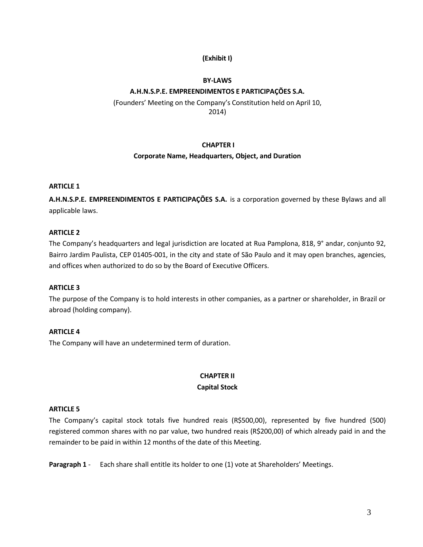## **(Exhibit I)**

### **BY-LAWS**

## **A.H.N.S.P.E. EMPREENDIMENTOS E PARTICIPAÇÕES S.A.**

(Founders' Meeting on the Company's Constitution held on April 10, 2014)

#### **CHAPTER I**

#### **Corporate Name, Headquarters, Object, and Duration**

#### **ARTICLE 1**

**A.H.N.S.P.E. EMPREENDIMENTOS E PARTICIPAÇÕES S.A.** is a corporation governed by these Bylaws and all applicable laws.

## **ARTICLE 2**

The Company's headquarters and legal jurisdiction are located at Rua Pamplona, 818, 9° andar, conjunto 92, Bairro Jardim Paulista, CEP 01405-001, in the city and state of São Paulo and it may open branches, agencies, and offices when authorized to do so by the Board of Executive Officers.

### **ARTICLE 3**

The purpose of the Company is to hold interests in other companies, as a partner or shareholder, in Brazil or abroad (holding company).

## **ARTICLE 4**

The Company will have an undetermined term of duration.

## **CHAPTER II Capital Stock**

#### **ARTICLE 5**

The Company's capital stock totals five hundred reais (R\$500,00), represented by five hundred (500) registered common shares with no par value, two hundred reais (R\$200,00) of which already paid in and the remainder to be paid in within 12 months of the date of this Meeting.

**Paragraph 1** - Each share shall entitle its holder to one (1) vote at Shareholders' Meetings.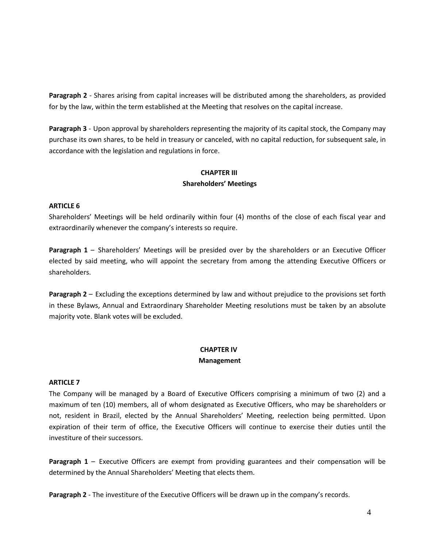**Paragraph 2** - Shares arising from capital increases will be distributed among the shareholders, as provided for by the law, within the term established at the Meeting that resolves on the capital increase.

**Paragraph 3** - Upon approval by shareholders representing the majority of its capital stock, the Company may purchase its own shares, to be held in treasury or canceled, with no capital reduction, for subsequent sale, in accordance with the legislation and regulations in force.

# **CHAPTER III Shareholders' Meetings**

## **ARTICLE 6**

Shareholders' Meetings will be held ordinarily within four (4) months of the close of each fiscal year and extraordinarily whenever the company's interests so require.

**Paragraph 1** – Shareholders' Meetings will be presided over by the shareholders or an Executive Officer elected by said meeting, who will appoint the secretary from among the attending Executive Officers or shareholders.

**Paragraph 2** – Excluding the exceptions determined by law and without prejudice to the provisions set forth in these Bylaws, Annual and Extraordinary Shareholder Meeting resolutions must be taken by an absolute majority vote. Blank votes will be excluded.

## **CHAPTER IV Management**

#### **ARTICLE 7**

The Company will be managed by a Board of Executive Officers comprising a minimum of two (2) and a maximum of ten (10) members, all of whom designated as Executive Officers, who may be shareholders or not, resident in Brazil, elected by the Annual Shareholders' Meeting, reelection being permitted. Upon expiration of their term of office, the Executive Officers will continue to exercise their duties until the investiture of their successors.

**Paragraph 1** – Executive Officers are exempt from providing guarantees and their compensation will be determined by the Annual Shareholders' Meeting that elects them.

**Paragraph 2** - The investiture of the Executive Officers will be drawn up in the company's records.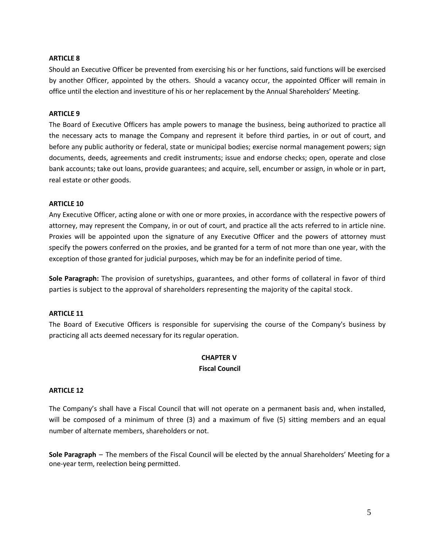## **ARTICLE 8**

Should an Executive Officer be prevented from exercising his or her functions, said functions will be exercised by another Officer, appointed by the others. Should a vacancy occur, the appointed Officer will remain in office until the election and investiture of his or her replacement by the Annual Shareholders' Meeting.

### **ARTICLE 9**

The Board of Executive Officers has ample powers to manage the business, being authorized to practice all the necessary acts to manage the Company and represent it before third parties, in or out of court, and before any public authority or federal, state or municipal bodies; exercise normal management powers; sign documents, deeds, agreements and credit instruments; issue and endorse checks; open, operate and close bank accounts; take out loans, provide guarantees; and acquire, sell, encumber or assign, in whole or in part, real estate or other goods.

#### **ARTICLE 10**

Any Executive Officer, acting alone or with one or more proxies, in accordance with the respective powers of attorney, may represent the Company, in or out of court, and practice all the acts referred to in article nine. Proxies will be appointed upon the signature of any Executive Officer and the powers of attorney must specify the powers conferred on the proxies, and be granted for a term of not more than one year, with the exception of those granted for judicial purposes, which may be for an indefinite period of time.

**Sole Paragraph:** The provision of suretyships, guarantees, and other forms of collateral in favor of third parties is subject to the approval of shareholders representing the majority of the capital stock.

#### **ARTICLE 11**

The Board of Executive Officers is responsible for supervising the course of the Company's business by practicing all acts deemed necessary for its regular operation.

### **CHAPTER V Fiscal Council**

#### **ARTICLE 12**

The Company's shall have a Fiscal Council that will not operate on a permanent basis and, when installed, will be composed of a minimum of three (3) and a maximum of five (5) sitting members and an equal number of alternate members, shareholders or not.

**Sole Paragraph** – The members of the Fiscal Council will be elected by the annual Shareholders' Meeting for a one-year term, reelection being permitted.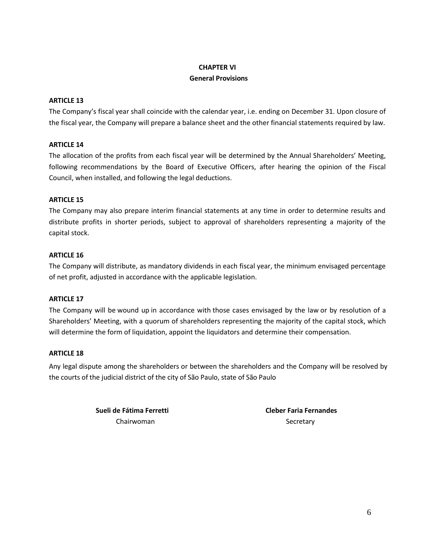# **CHAPTER VI General Provisions**

## **ARTICLE 13**

The Company's fiscal year shall coincide with the calendar year, i.e. ending on December 31. Upon closure of the fiscal year, the Company will prepare a balance sheet and the other financial statements required by law.

## **ARTICLE 14**

The allocation of the profits from each fiscal year will be determined by the Annual Shareholders' Meeting, following recommendations by the Board of Executive Officers, after hearing the opinion of the Fiscal Council, when installed, and following the legal deductions.

## **ARTICLE 15**

The Company may also prepare interim financial statements at any time in order to determine results and distribute profits in shorter periods, subject to approval of shareholders representing a majority of the capital stock.

## **ARTICLE 16**

The Company will distribute, as mandatory dividends in each fiscal year, the minimum envisaged percentage of net profit, adjusted in accordance with the applicable legislation.

## **ARTICLE 17**

The Company will be wound up in accordance with those cases envisaged by the law or by resolution of a Shareholders' Meeting, with a quorum of shareholders representing the majority of the capital stock, which will determine the form of liquidation, appoint the liquidators and determine their compensation.

## **ARTICLE 18**

Any legal dispute among the shareholders or between the shareholders and the Company will be resolved by the courts of the judicial district of the city of São Paulo, state of São Paulo

> **Sueli de Fátima Ferretti Cleber Faria Fernandes** Chairwoman Secretary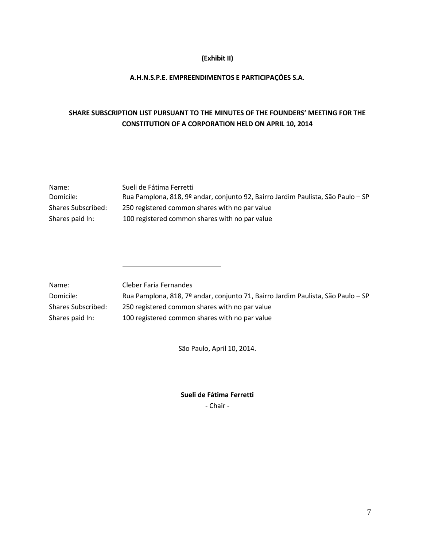## **(Exhibit II)**

## **A.H.N.S.P.E. EMPREENDIMENTOS E PARTICIPAÇÕES S.A.**

# **SHARE SUBSCRIPTION LIST PURSUANT TO THE MINUTES OF THE FOUNDERS' MEETING FOR THE CONSTITUTION OF A CORPORATION HELD ON APRIL 10, 2014**

| Name:              | Sueli de Fátima Ferretti                                                         |
|--------------------|----------------------------------------------------------------------------------|
| Domicile:          | Rua Pamplona, 818, 9º andar, conjunto 92, Bairro Jardim Paulista, São Paulo – SP |
| Shares Subscribed: | 250 registered common shares with no par value                                   |
| Shares paid In:    | 100 registered common shares with no par value                                   |
|                    |                                                                                  |

| Name:              | Cleber Faria Fernandes                                                           |
|--------------------|----------------------------------------------------------------------------------|
| Domicile:          | Rua Pamplona, 818, 7º andar, conjunto 71, Bairro Jardim Paulista, São Paulo – SP |
| Shares Subscribed: | 250 registered common shares with no par value                                   |
| Shares paid In:    | 100 registered common shares with no par value                                   |

São Paulo, April 10, 2014.

**Sueli de Fátima Ferretti**

- Chair -